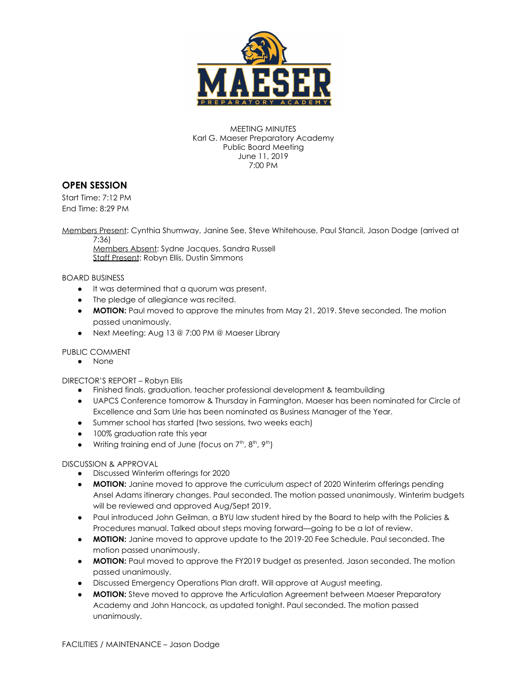

MEETING MINUTES Karl G. Maeser Preparatory Academy Public Board Meeting June 11, 2019 7:00 PM

## **OPEN SESSION**

Start Time: 7:12 PM End Time: 8:29 PM

Members Present: Cynthia Shumway, Janine See, Steve Whitehouse, Paul Stancil, Jason Dodge (arrived at 7:36)

Members Absent: Sydne Jacques, Sandra Russell Staff Present: Robyn Ellis, Dustin Simmons

BOARD BUSINESS

- It was determined that a quorum was present.
- The pledge of allegiance was recited.
- **MOTION:** Paul moved to approve the minutes from May 21, 2019. Steve seconded. The motion passed unanimously.
- Next Meeting: Aug 13 @ 7:00 PM @ Maeser Library

#### PUBLIC COMMENT

● None

DIRECTOR'S REPORT – Robyn Ellis

- Finished finals, graduation, teacher professional development & teambuilding
- UAPCS Conference tomorrow & Thursday in Farmington. Maeser has been nominated for Circle of Excellence and Sam Urie has been nominated as Business Manager of the Year.
- Summer school has started (two sessions, two weeks each)
- 100% graduation rate this year
- Writing training end of June (focus on  $7<sup>th</sup>$ ,  $8<sup>th</sup>$ ,  $9<sup>th</sup>$ )

#### DISCUSSION & APPROVAL

- Discussed Winterim offerings for 2020
- **MOTION:** Janine moved to approve the curriculum aspect of 2020 Winterim offerings pending Ansel Adams itinerary changes. Paul seconded. The motion passed unanimously. Winterim budgets will be reviewed and approved Aug/Sept 2019.
- Paul introduced John Geilman, a BYU law student hired by the Board to help with the Policies & Procedures manual. Talked about steps moving forward—going to be a lot of review.
- **MOTION:** Janine moved to approve update to the 2019-20 Fee Schedule. Paul seconded. The motion passed unanimously.
- **MOTION:** Paul moved to approve the FY2019 budget as presented. Jason seconded. The motion passed unanimously.
- Discussed Emergency Operations Plan draft. Will approve at August meeting.
- **MOTION:** Steve moved to approve the Articulation Agreement between Maeser Preparatory Academy and John Hancock, as updated tonight. Paul seconded. The motion passed unanimously.